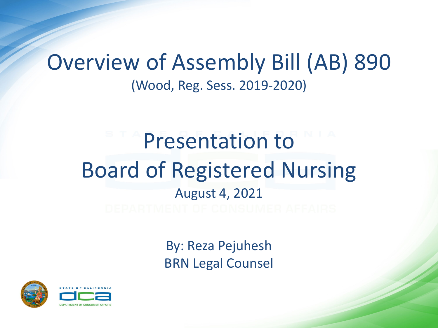#### Overview of Assembly Bill (AB) 890 (Wood, Reg. Sess. 2019-2020)

## Presentation to Board of Registered Nursing August 4, 2021

By: Reza Pejuhesh BRN Legal Counsel

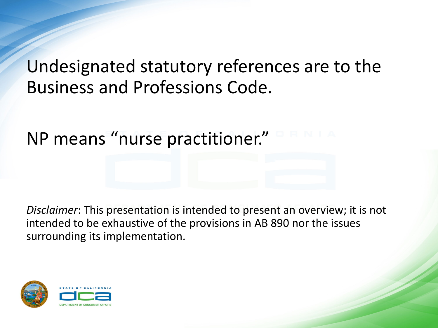#### Undesignated statutory references are to the Business and Professions Code.

#### NP means "nurse practitioner."

 *Disclaimer*: This presentation is intended to present an overview; it is not intended to be exhaustive of the provisions in AB 890 nor the issues surrounding its implementation.

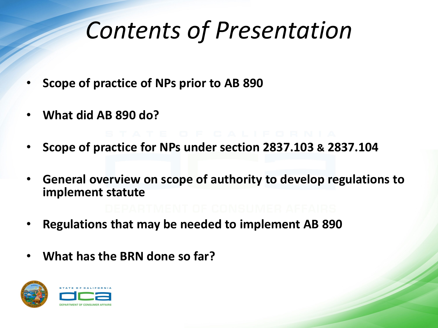## *Contents of Presentation*

- **Scope of practice of NPs prior to AB 890**
- **What did AB 890 do?**
- **Scope of practice for NPs under section 2837.103 & 2837.104**
- **General overview on scope of authority to develop regulations to implement statute**

- **Regulations that may be needed to implement AB 890**
- **What has the BRN done so far?**

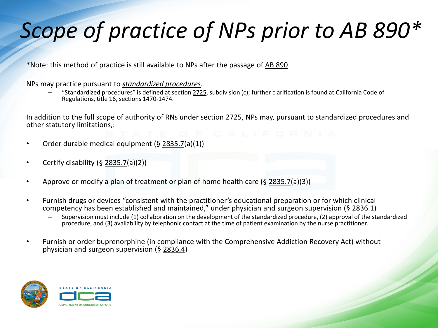### *Scope of practice of NPs prior to AB 890\**

\*Note: this method of practice is still available to NPs after the passage of [AB 890](https://leginfo.legislature.ca.gov/faces/billTextClient.xhtml?bill_id=201920200AB890)

NPs may practice pursuant to *standardized procedures*.

 – "Standardized procedures" is defined at section [2725](https://leginfo.legislature.ca.gov/faces/codes_displaySection.xhtml?lawCode=BPC§ionNum=2725.), subdivision (c); further clarification is found at California Code of Regulations, title 16, sections [1470-1474.](https://govt.westlaw.com/calregs/Browse/Home/California/CaliforniaCodeofRegulations?guid=IB46A3F40D48E11DEBC02831C6D6C108E&originationContext=documenttoc&transitionType=Default&contextData=(sc.Default))

 In addition to the full scope of authority of RNs under section 2725, NPs may, pursuant to standardized procedures and other statutory limitations,:

- Order durable medical equipment (§ [2835.7\(](https://leginfo.legislature.ca.gov/faces/codes_displaySection.xhtml?lawCode=BPC§ionNum=2835.7.)a)(1))
- Certify disability  $(§ 2835.7(a)(2))$  $(§ 2835.7(a)(2))$  $(§ 2835.7(a)(2))$
- Approve or modify a plan of treatment or plan of home health care (§ [2835.7](https://leginfo.legislature.ca.gov/faces/codes_displaySection.xhtml?lawCode=BPC§ionNum=2835.7.)(a)(3))
- • Furnish drugs or devices "consistent with the practitioner's educational preparation or for which clinical competency has been established and maintained," under physician and surgeon supervision (§ [2836.1\)](https://leginfo.legislature.ca.gov/faces/codes_displaySection.xhtml?lawCode=BPC§ionNum=2836.1.)
	- – Supervision must include (1) collaboration on the development of the standardized procedure, (2) approval of the standardized procedure, and (3) availability by telephonic contact at the time of patient examination by the nurse practitioner.
- • Furnish or order buprenorphine (in compliance with the Comprehensive Addiction Recovery Act) without physician and surgeon supervision (§ [2836.4](https://leginfo.legislature.ca.gov/faces/codes_displaySection.xhtml?lawCode=BPC§ionNum=2836.4.))

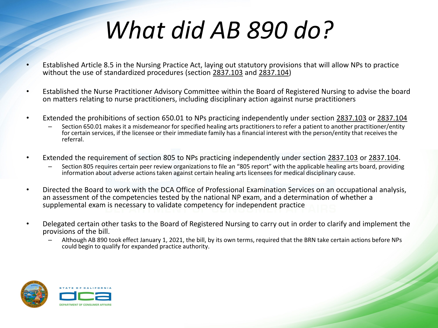## *What did AB 890 do?*

- Established Article 8.5 in the Nursing Practice Act, laying out statutory provisions that will allow NPs to practice without the use of standardized procedures (section [2837.103](https://leginfo.legislature.ca.gov/faces/codes_displaySection.xhtml?lawCode=BPC§ionNum=2837.103.) and [2837.104\)](https://leginfo.legislature.ca.gov/faces/codes_displaySection.xhtml?lawCode=BPC§ionNum=2837.104.)
- • Established the Nurse Practitioner Advisory Committee within the Board of Registered Nursing to advise the board on matters relating to nurse practitioners, including disciplinary action against nurse practitioners
- Extended the prohibitions of section 650.01 to NPs practicing independently under section [2837.103](https://leginfo.legislature.ca.gov/faces/codes_displaySection.xhtml?lawCode=BPC§ionNum=2837.103.) or [2837.104](https://leginfo.legislature.ca.gov/faces/codes_displaySection.xhtml?lawCode=BPC§ionNum=2837.104.)
	- – Section 650.01 makes it a misdemeanor for specified healing arts practitioners to refer a patient to another practitioner/entity for certain services, if the licensee or their immediate family has a financial interest with the person/entity that receives the referral.
- Extended the requirement of section 805 to NPs practicing independently under section [2837.103](https://leginfo.legislature.ca.gov/faces/codes_displaySection.xhtml?lawCode=BPC§ionNum=2837.103.) or [2837.104](https://leginfo.legislature.ca.gov/faces/codes_displaySection.xhtml?lawCode=BPC§ionNum=2837.104.).
	- – Section 805 requires certain peer review organizations to file an "805 report" with the applicable healing arts board, providing information about adverse actions taken against certain healing arts licensees for medical disciplinary cause.
- • Directed the Board to work with the DCA Office of Professional Examination Services on an occupational analysis, an assessment of the competencies tested by the national NP exam, and a determination of whether a supplemental exam is necessary to validate competency for independent practice
- • Delegated certain other tasks to the Board of Registered Nursing to carry out in order to clarify and implement the provisions of the bill.
	- – Although AB 890 took effect January 1, 2021, the bill, by its own terms, required that the BRN take certain actions before NPs could begin to qualify for expanded practice authority.

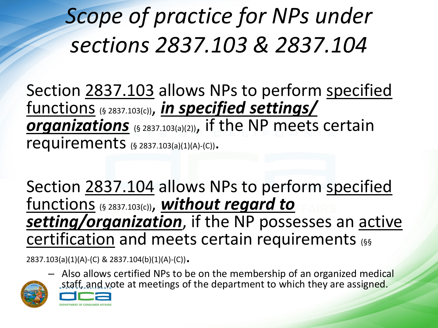## *Scope of practice for NPs under sections 2837.103 & 2837.104*

Section [2837.103](https://leginfo.legislature.ca.gov/faces/codes_displaySection.xhtml?lawCode=BPC§ionNum=2837.103.) allows NPs to perform specified *organizations* (§ 2837.103(a)(2)), if the NP meets certain functions (§ 2837.103(c)), *in specified settings/*  requirements (§ 2837.103(a)(1)(A)-(C)).

Section [2837.104](https://leginfo.legislature.ca.gov/faces/codes_displaySection.xhtml?lawCode=BPC§ionNum=2837.104.) allows NPs to perform specified functions (§ 2837.103(c)), *without regard to setting/organization*, if the NP possesses an active certification and meets certain requirements (§§

2837.103(a)(1)(A)-(C) & 2837.104(b)(1)(A)-(C)).

 – Also allows certified NPs to be on the membership of an organized medical staff, and vote at meetings of the department to which they are assigned.



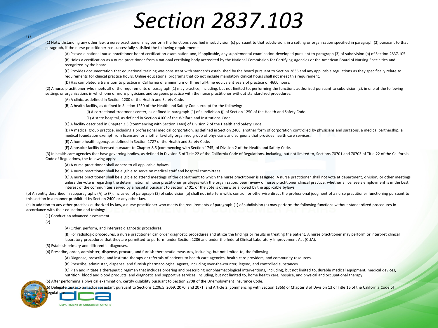(1) Notwithstanding any other law, a nurse practitioner may perform the functions specified in subdivision (c) pursuant to that subdivision, in a setting or organization specified in paragraph (2) pursuant to that paragraph, if the nurse practitioner has successfully satisfied the following requirements:

(A) Passed a national nurse practitioner board certification examination and, if applicable, any supplemental examination developed pursuant to paragraph (3) of subdivision (a) of Section 2837.105.

 (B) Holds a certification as a nurse practitioner from a national certifying body accredited by the National Commission for Certifying Agencies or the American Board of Nursing Specialties and recognized by the board.

 (C) Provides documentation that educational training was consistent with standards established by the board pursuant to Section 2836 and any applicable regulations as they specifically relate to requirements for clinical practice hours. Online educational programs that do not include mandatory clinical hours shall not meet this requirement.

(D) Has completed a transition to practice in California of a minimum of three full-time equivalent years of practice or 4600 hours.

 (2) A nurse practitioner who meets all of the requirements of paragraph (1) may practice, including, but not limited to, performing the functions authorized pursuant to subdivision (c), in one of the following settings or organizations in which one or more physicians and surgeons practice with the nurse practitioner without standardized procedures:

(A) A clinic, as defined in Section 1200 of the Health and Safety Code.

(B) A health facility, as defined in Section 1250 of the Health and Safety Code, except for the following:

(i) A correctional treatment center, as defined in paragraph (1) of subdivision (j) of Section 1250 of the Health and Safety Code.

(ii) A state hospital, as defined in Section 4100 of the Welfare and Institutions Code.

(C) A facility described in Chapter 2.5 (commencing with Section 1440) of Division 2 of the Health and Safety Code.

 (D) A medical group practice, including a professional medical corporation, as defined in Section 2406, another form of corporation controlled by physicians and surgeons, a medical partnership, a medical foundation exempt from licensure, or another lawfully organized group of physicians and surgeons that provides health care services.

(E) A home health agency, as defined in Section 1727 of the Health and Safety Code.

(F) A hospice facility licensed pursuant to Chapter 8.5 (commencing with Section 1745) of Division 2 of the Health and Safety Code.

 (3) In health care agencies that have governing bodies, as defined in Division 5 of Title 22 of the California Code of Regulations, including, but not limited to, Sections 70701 and 70703 of Title 22 of the California Code of Regulations, the following apply:

(A) A nurse practitioner shall adhere to all applicable bylaws.

(B) A nurse practitioner shall be eligible to serve on medical staff and hospital committees.

 (C) A nurse practitioner shall be eligible to attend meetings of the department to which the nurse practitioner is assigned. A nurse practitioner shall not vote at department, division, or other meetings unless the vote is regarding the determination of nurse practitioner privileges with the organization, peer review of nurse practitioner clinical practice, whether a licensee's employment is in the best interest of the communities served by a hospital pursuant to Section 2401, or the vote is otherwise allowed by the applicable bylaws.

(b) An entity described in subparagraphs (A) to (F), inclusive, of paragraph (2) of subdivision (a) shall not interfere with, control, or otherwise direct the professional judgment of a nurse practitioner functioning pursu this section in a manner prohibited by Section 2400 or any other law.

 (c) In addition to any other practices authorized by law, a nurse practitioner who meets the requirements of paragraph (1) of subdivision (a) may perform the following functions without standardized procedures in accordance with their education and training:

(1) Conduct an advanced assessment.

(2)

(A) Order, perform, and interpret diagnostic procedures.

 (B) For radiologic procedures, a nurse practitioner can order diagnostic procedures and utilize the findings or results in treating the patient. A nurse practitioner may perform or interpret clinical laboratory procedures that they are permitted to perform under Section 1206 and under the federal Clinical Laboratory Improvement Act (CLIA).

(3) Establish primary and differential diagnoses.

(4) Prescribe, order, administer, dispense, procure, and furnish therapeutic measures, including, but not limited to, the following:

(A) Diagnose, prescribe, and institute therapy or referrals of patients to health care agencies, health care providers, and community resources.

(B) Prescribe, administer, dispense, and furnish pharmacological agents, including over-the-counter, legend, and controlled substances.

 (C) Plan and initiate a therapeutic regimen that includes ordering and prescribing nonpharmacological interventions, including, but not limited to, durable medical equipment, medical devices, nutrition, blood and blood products, and diagnostic and supportive services, including, but not limited to, home health care, hospice, and physical and occupational therapy.

(5) After performing a physical examination, certify disability pursuant to Section 2708 of the Unemployment Insurance Code.

(6) Delegate tasks to a medical assistant pursuant to Sections 1206.5, 2069, 2070, and 2071, and Article 2 (commencing with Section 1366) of Chapter 3 of Division 13 of Title 16 of the California Code of



(a)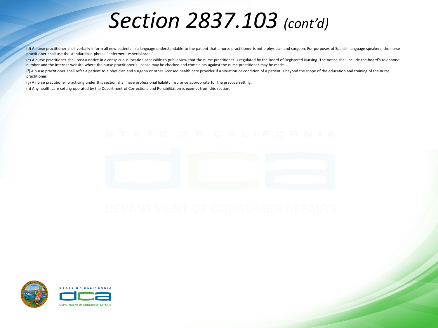#### *Section 2837.103 (cont'd)*

 (d) A nurse practitioner shall verbally inform all new patients in a language understandable to the patient that a nurse practitioner is not a physician and surgeon. For purposes of Spanish language speakers, the nurse practitioner shall use the standardized phrase "enfermera especializada."

 (e) A nurse practitioner shall post a notice in a conspicuous location accessible to public view that the nurse practitioner is regulated by the Board of Registered Nursing. The notice shall include the board's telephone number and the internet website where the nurse practitioner's license may be checked and complaints against the nurse practitioner may be made.

 (f) A nurse practitioner shall refer a patient to a physician and surgeon or other licensed health care provider if a situation or condition of a patient is beyond the scope of the education and training of the nurse practitioner.

 (g) A nurse practitioner practicing under this section shall have professional liability insurance appropriate for the practice setting. (h) Any health care setting operated by the Department of Corrections and Rehabilitation is exempt from this section.



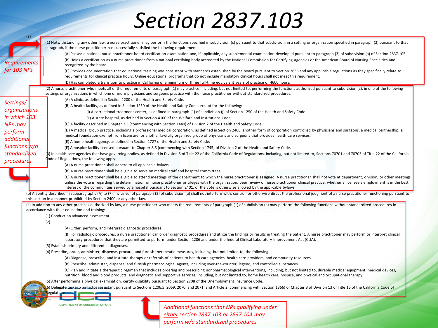*Re*<br>for

| (a)                                                                                                                                                                                                                                                                                                                                                                                                                       |                                                                                                                                                                                                                                                                                                                                                     |                                                                                                                                                                                                                                                                                                                                                           |  |
|---------------------------------------------------------------------------------------------------------------------------------------------------------------------------------------------------------------------------------------------------------------------------------------------------------------------------------------------------------------------------------------------------------------------------|-----------------------------------------------------------------------------------------------------------------------------------------------------------------------------------------------------------------------------------------------------------------------------------------------------------------------------------------------------|-----------------------------------------------------------------------------------------------------------------------------------------------------------------------------------------------------------------------------------------------------------------------------------------------------------------------------------------------------------|--|
|                                                                                                                                                                                                                                                                                                                                                                                                                           | paragraph, if the nurse practitioner has successfully satisfied the following requirements:                                                                                                                                                                                                                                                         | (1) Notwithstanding any other law, a nurse practitioner may perform the functions specified in subdivision (c) pursuant to that subdivision, in a setting or organization specified in paragraph (2) pursuant to that                                                                                                                                     |  |
|                                                                                                                                                                                                                                                                                                                                                                                                                           |                                                                                                                                                                                                                                                                                                                                                     | (A) Passed a national nurse practitioner board certification examination and, if applicable, any supplemental examination developed pursuant to paragraph (3) of subdivision (a) of Section 2837.105.                                                                                                                                                     |  |
| <b>Requirements</b>                                                                                                                                                                                                                                                                                                                                                                                                       | recognized by the board.                                                                                                                                                                                                                                                                                                                            | (B) Holds a certification as a nurse practitioner from a national certifying body accredited by the National Commission for Certifying Agencies or the American Board of Nursing Specialties and                                                                                                                                                          |  |
| for 103 NPs                                                                                                                                                                                                                                                                                                                                                                                                               |                                                                                                                                                                                                                                                                                                                                                     | (C) Provides documentation that educational training was consistent with standards established by the board pursuant to Section 2836 and any applicable regulations as they specifically relate to<br>requirements for clinical practice hours. Online educational programs that do not include mandatory clinical hours shall not meet this requirement. |  |
|                                                                                                                                                                                                                                                                                                                                                                                                                           |                                                                                                                                                                                                                                                                                                                                                     | (D) Has completed a transition to practice in California of a minimum of three full-time equivalent years of practice or 4600 hours.                                                                                                                                                                                                                      |  |
| (2) A nurse practitioner who meets all of the requirements of paragraph (1) may practice, including, but not limited to, performing the functions authorized pursuant to subdivision (c), in one of the following<br>settings or organizations in which one or more physicians and surgeons practice with the nurse practitioner without standardized procedures:                                                         |                                                                                                                                                                                                                                                                                                                                                     |                                                                                                                                                                                                                                                                                                                                                           |  |
| Settings/                                                                                                                                                                                                                                                                                                                                                                                                                 | (A) A clinic, as defined in Section 1200 of the Health and Safety Code.                                                                                                                                                                                                                                                                             |                                                                                                                                                                                                                                                                                                                                                           |  |
|                                                                                                                                                                                                                                                                                                                                                                                                                           | (B) A health facility, as defined in Section 1250 of the Health and Safety Code, except for the following:                                                                                                                                                                                                                                          |                                                                                                                                                                                                                                                                                                                                                           |  |
| organizations                                                                                                                                                                                                                                                                                                                                                                                                             |                                                                                                                                                                                                                                                                                                                                                     | (i) A correctional treatment center, as defined in paragraph (1) of subdivision (i) of Section 1250 of the Health and Safety Code.                                                                                                                                                                                                                        |  |
| in which 103                                                                                                                                                                                                                                                                                                                                                                                                              |                                                                                                                                                                                                                                                                                                                                                     | (ii) A state hospital, as defined in Section 4100 of the Welfare and Institutions Code.                                                                                                                                                                                                                                                                   |  |
| <b>NPs may</b>                                                                                                                                                                                                                                                                                                                                                                                                            |                                                                                                                                                                                                                                                                                                                                                     | (C) A facility described in Chapter 2.5 (commencing with Section 1440) of Division 2 of the Health and Safety Code.                                                                                                                                                                                                                                       |  |
| perform<br>additional                                                                                                                                                                                                                                                                                                                                                                                                     | (D) A medical group practice, including a professional medical corporation, as defined in Section 2406, another form of corporation controlled by physicians and surgeons, a medical partnership, a<br>medical foundation exempt from licensure, or another lawfully organized group of physicians and surgeons that provides health care services. |                                                                                                                                                                                                                                                                                                                                                           |  |
|                                                                                                                                                                                                                                                                                                                                                                                                                           | (E) A home health agency, as defined in Section 1727 of the Health and Safety Code.                                                                                                                                                                                                                                                                 |                                                                                                                                                                                                                                                                                                                                                           |  |
| functions W/o                                                                                                                                                                                                                                                                                                                                                                                                             |                                                                                                                                                                                                                                                                                                                                                     | (F) A hospice facility licensed pursuant to Chapter 8.5 (commencing with Section 1745) of Division 2 of the Health and Safety Code.                                                                                                                                                                                                                       |  |
| standardized<br>(\$) In health care agencies that have governing bodies, as defined in Division 5 of Title 22 of the California Code of Regulations, including, but not limited to, Sections 70701 and 70703 of Title 22 of the California                                                                                                                                                                                |                                                                                                                                                                                                                                                                                                                                                     |                                                                                                                                                                                                                                                                                                                                                           |  |
| procedures                                                                                                                                                                                                                                                                                                                                                                                                                | Code of Regulations, the following apply:                                                                                                                                                                                                                                                                                                           |                                                                                                                                                                                                                                                                                                                                                           |  |
|                                                                                                                                                                                                                                                                                                                                                                                                                           | (A) A nurse practitioner shall adhere to all applicable bylaws.                                                                                                                                                                                                                                                                                     |                                                                                                                                                                                                                                                                                                                                                           |  |
| (B) A nurse practitioner shall be eligible to serve on medical staff and hospital committees.                                                                                                                                                                                                                                                                                                                             |                                                                                                                                                                                                                                                                                                                                                     |                                                                                                                                                                                                                                                                                                                                                           |  |
| (C) A nurse practitioner shall be eligible to attend meetings of the department to which the nurse practitioner is assigned. A nurse practitioner shall not vote at department, division, or other meetings<br>unless the vote is regarding the determination of nurse practitioner privileges with the organization, peer review of nurse practitioner clinical practice, whether a licensee's employment is in the best |                                                                                                                                                                                                                                                                                                                                                     |                                                                                                                                                                                                                                                                                                                                                           |  |
|                                                                                                                                                                                                                                                                                                                                                                                                                           |                                                                                                                                                                                                                                                                                                                                                     | interest of the communities served by a hospital pursuant to Section 2401, or the vote is otherwise allowed by the applicable bylaws.                                                                                                                                                                                                                     |  |
|                                                                                                                                                                                                                                                                                                                                                                                                                           |                                                                                                                                                                                                                                                                                                                                                     | (b) An entity described in subparagraphs (A) to (F), inclusive, of paragraph (2) of subdivision (a) shall not interfere with, control, or otherwise direct the professional judgment of a nurse practitioner functioning pursu                                                                                                                            |  |
|                                                                                                                                                                                                                                                                                                                                                                                                                           | this section in a manner prohibited by Section 2400 or any other law.<br>(c) In addition to any other practices authorized by law, a nurse practitioner who meets the requirements of paragraph (1) of subdivision (a) may perform the following functions without standardized procedures in<br>accordance with their education and training:      |                                                                                                                                                                                                                                                                                                                                                           |  |
|                                                                                                                                                                                                                                                                                                                                                                                                                           | (1) Conduct an advanced assessment.                                                                                                                                                                                                                                                                                                                 |                                                                                                                                                                                                                                                                                                                                                           |  |
| (2)                                                                                                                                                                                                                                                                                                                                                                                                                       |                                                                                                                                                                                                                                                                                                                                                     |                                                                                                                                                                                                                                                                                                                                                           |  |
| (A) Order, perform, and interpret diagnostic procedures.                                                                                                                                                                                                                                                                                                                                                                  |                                                                                                                                                                                                                                                                                                                                                     |                                                                                                                                                                                                                                                                                                                                                           |  |
| (B) For radiologic procedures, a nurse practitioner can order diagnostic procedures and utilize the findings or results in treating the patient. A nurse practitioner may perform or interpret clinical<br>laboratory procedures that they are permitted to perform under Section 1206 and under the federal Clinical Laboratory Improvement Act (CLIA).                                                                  |                                                                                                                                                                                                                                                                                                                                                     |                                                                                                                                                                                                                                                                                                                                                           |  |
| (3) Establish primary and differential diagnoses.                                                                                                                                                                                                                                                                                                                                                                         |                                                                                                                                                                                                                                                                                                                                                     |                                                                                                                                                                                                                                                                                                                                                           |  |
| (4) Prescribe, order, administer, dispense, procure, and furnish therapeutic measures, including, but not limited to, the following:                                                                                                                                                                                                                                                                                      |                                                                                                                                                                                                                                                                                                                                                     |                                                                                                                                                                                                                                                                                                                                                           |  |
| (A) Diagnose, prescribe, and institute therapy or referrals of patients to health care agencies, health care providers, and community resources.                                                                                                                                                                                                                                                                          |                                                                                                                                                                                                                                                                                                                                                     |                                                                                                                                                                                                                                                                                                                                                           |  |
| (B) Prescribe, administer, dispense, and furnish pharmacological agents, including over-the-counter, legend, and controlled substances.                                                                                                                                                                                                                                                                                   |                                                                                                                                                                                                                                                                                                                                                     |                                                                                                                                                                                                                                                                                                                                                           |  |
| (C) Plan and initiate a therapeutic regimen that includes ordering and prescribing nonpharmacological interventions, including, but not limited to, durable medical equipment, medical devices,                                                                                                                                                                                                                           |                                                                                                                                                                                                                                                                                                                                                     |                                                                                                                                                                                                                                                                                                                                                           |  |
| nutrition, blood and blood products, and diagnostic and supportive services, including, but not limited to, home health care, hospice, and physical and occupational therapy.                                                                                                                                                                                                                                             |                                                                                                                                                                                                                                                                                                                                                     |                                                                                                                                                                                                                                                                                                                                                           |  |
| (5) After performing a physical examination, certify disability pursuant to Section 2708 of the Unemployment Insurance Code.                                                                                                                                                                                                                                                                                              |                                                                                                                                                                                                                                                                                                                                                     |                                                                                                                                                                                                                                                                                                                                                           |  |
| (6) Delegate tasks to a medicabassistant pursuant to Sections 1206.5, 2069, 2070, and 2071, and Article 2 (commencing with Section 1366) of Chapter 3 of Division 13 of Title 16 of the California Code of                                                                                                                                                                                                                |                                                                                                                                                                                                                                                                                                                                                     |                                                                                                                                                                                                                                                                                                                                                           |  |
| <b>R</b> egulation                                                                                                                                                                                                                                                                                                                                                                                                        |                                                                                                                                                                                                                                                                                                                                                     |                                                                                                                                                                                                                                                                                                                                                           |  |
|                                                                                                                                                                                                                                                                                                                                                                                                                           | <b>DEPARTMENT OF CONSUMER AFFAIRS</b>                                                                                                                                                                                                                                                                                                               |                                                                                                                                                                                                                                                                                                                                                           |  |
|                                                                                                                                                                                                                                                                                                                                                                                                                           |                                                                                                                                                                                                                                                                                                                                                     | Additional functions that NPs qualifying under                                                                                                                                                                                                                                                                                                            |  |
|                                                                                                                                                                                                                                                                                                                                                                                                                           |                                                                                                                                                                                                                                                                                                                                                     | either section 2837.103 or 2837.104 may                                                                                                                                                                                                                                                                                                                   |  |

*perform w/o standardized procedures*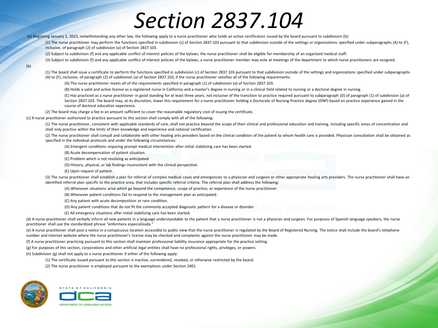(a) Beginning January 1, 2023, notwithstanding any other law, the following apply to a nurse practitioner who holds an active certification issued by the board pursuant to subdivision (b):

 (1) The nurse practitioner may perform the functions specified in subdivision (c) of Section 2837.103 pursuant to that subdivision outside of the settings or organizations specified under subparagraphs (A) to (F), inclusive, of paragraph (2) of subdivision (a) of Section 2837.103.

(2) Subject to subdivision (f) and any applicable conflict of interest policies of the bylaws, the nurse practitioner shall be eligible for membership of an organized medical staff.

(3) Subject to subdivision (f) and any applicable conflict of interest policies of the bylaws, a nurse practitioner member may vote at meetings of the department to which nurse practitioners are assigned.

(b)

 (1) The board shall issue a certificate to perform the functions specified in subdivision (c) of Section 2837.103 pursuant to that subdivision outside of the settings and organizations specified under subparagraphs (A) to (F), inclusive, of paragraph (2) of subdivision (a) of Section 2837.103, if the nurse practitioner satisfies all of the following requirements:

(A) The nurse practitioner meets all of the requirements specified in paragraph (1) of subdivision (a) of Section 2837.103.

(B) Holds a valid and active license as a registered nurse in California and a master's degree in nursing or in a clinical field related to nursing or a doctoral degree in nursing.

 (C) Has practiced as a nurse practitioner in good standing for at least three years, not inclusive of the transition to practice required pursuant to subparagraph (D) of paragraph (1) of subdivision (a) of Section 2837.103. The board may, at its discretion, lower this requirement for a nurse practitioner holding a Doctorate of Nursing Practice degree (DNP) based on practice experience gained in the course of doctoral education experience.

(2) The board may charge a fee in an amount sufficient to cover the reasonable regulatory cost of issuing the certificate.

(c) A nurse practitioner authorized to practice pursuant to this section shall comply with all of the following:

 (1) The nurse practitioner, consistent with applicable standards of care, shall not practice beyond the scope of their clinical and professional education and training, including specific areas of concentration and shall only practice within the limits of their knowledge and experience and national certification.

(2) The nurse practitioner shall consult and collaborate with other healing arts providers based on the clinical condition of the patient to whom health care is provided. Physician consultation shall be obtained as specified in the individual protocols and under the following circumstances:

(A) Emergent conditions requiring prompt medical intervention after initial stabilizing care has been started.

(B) Acute decompensation of patient situation.

(C) Problem which is not resolving as anticipated.

(D) History, physical, or lab findings inconsistent with the clinical perspective.

(E) Upon request of patient.

(3) The nurse practitioner shall establish a plan for referral of complex medical cases and emergencies to a physician and surgeon or other appropriate healing arts providers. The nurse practitioner shall have an identified referral plan specific to the practice area, that includes specific referral criteria. The referral plan shall address the following:

(A) Whenever situations arise which go beyond the competence, scope of practice, or experience of the nurse practitioner.

(B) Whenever patient conditions fail to respond to the management plan as anticipated.

(C) Any patient with acute decomposition or rare condition.

(D) Any patient conditions that do not fit the commonly accepted diagnostic pattern for a disease or disorder.

(E) All emergency situations after initial stabilizing care has been started.

 (d) A nurse practitioner shall verbally inform all new patients in a language understandable to the patient that a nurse practitioner is not a physician and surgeon. For purposes of Spanish language speakers, the nurse practitioner shall use the standardized phrase "enfermera especializada."

 (e) A nurse practitioner shall post a notice in a conspicuous location accessible to public view that the nurse practitioner is regulated by the Board of Registered Nursing. The notice shall include the board's telephone number and internet website where the nurse practitioner's license may be checked and complaints against the nurse practitioner may be made.

(f) A nurse practitioner practicing pursuant to this section shall maintain professional liability insurance appropriate for the practice setting.

(g) For purposes of this section, corporations and other artificial legal entities shall have no professional rights, privileges, or powers.

(h) Subdivision (g) shall not apply to a nurse practitioner if either of the following apply:

(1) The certificate issued pursuant to this section is inactive, surrendered, revoked, or otherwise restricted by the board.

(2) The nurse practitioner is employed pursuant to the exemptions under Section 2401.



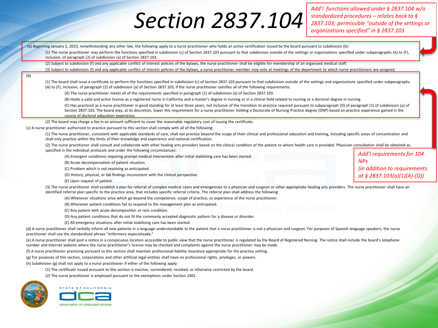*Add'l functions allowed under § 2837.104 w/o standardized procedures – relates back to § 2837.103; permissible "outside of the settings or organizations specified" in § 2837.103* 

(3) Subject to subdivision (f) and any applicable conflict of interest policies of the bylaws, a nurse practitioner member may vote at meetings of the department to which nurse practitioners are assigned. (b) (1) The board shall issue a certificate to perform the functions specified in subdivision (c) of Section 2837.103 pursuant to that subdivision outside of the settings and organizations specified under subparagraphs (A) to (F), inclusive, of paragraph (2) of subdivision (a) of Section 2837.103, if the nurse practitioner satisfies all of the following requirements: (A) The nurse practitioner meets all of the requirements specified in paragraph (1) of subdivision (a) of Section 2837.103. (B) Holds a valid and active license as a registered nurse in California and a master's degree in nursing or in a clinical field related to nursing or a doctoral degree in nursing. (C) Has practiced as a nurse practitioner in good standing for at least three years, not inclusive of the transition to practice required pursuant to subparagraph (D) of paragraph (1) of subdivision (a) of Section 2837.103. The board may, at its discretion, lower this requirement for a nurse practitioner holding a Doctorate of Nursing Practice degree (DNP) based on practice experience gained in the course of doctoral education experience. (2) The board may charge a fee in an amount sufficient to cover the reasonable regulatory cost of issuing the certificate. (a) Beginning January 1, 2023, notwithstanding any other law, the following apply to a nurse practitioner who holds an active certification issued by the board pursuant to subdivision (b): (1) The nurse practitioner may perform the functions specified in subdivision (c) of Section 2837.103 pursuant to that subdivision outside of the settings or organizations specified under subparagraphs (A) to (F), inclusive, of paragraph (2) of subdivision (a) of Section 2837.103. (2) Subject to subdivision (f) and any applicable conflict of interest policies of the bylaws, the nurse practitioner shall be eligible for membership of an organized medical staff. (c) A nurse practitioner authorized to practice pursuant to this section shall comply with all of the following: (1) The nurse practitioner, consistent with applicable standards of care, shall not practice beyond the scope of their clinical and professional education and training, including specific areas of concentration and shall only practice within the limits of their knowledge and experience and national certification. (2) The nurse practitioner shall consult and collaborate with other healing arts providers based on the clinical condition of the patient to whom health care is provided. Physician consultation shall be obtained as specified in the individual protocols and under the following circumstances: (A) Emergent conditions requiring prompt medical intervention after initial stabilizing care has been started. (B) Acute decompensation of patient situation. (C) Problem which is not resolving as anticipated. (D) History, physical, or lab findings inconsistent with the clinical perspective. (3) The nurse practitioner shall establish a plan for referral of complex medical cases and emergencies to a physician and surgeon or other appropriate healing arts providers. The nurse practitioner shall have an identified referral plan specific to the practice area, that includes specific referral criteria. The referral plan shall address the following: (A) Whenever situations arise which go beyond the competence, scope of practice, or experience of the nurse practitioner. (B) Whenever patient conditions fail to respond to the management plan as anticipated. (C) Any patient with acute decomposition or rare condition. *Add'l requirements for 104 NPs (in addition to requirements at § 2837.103(a)(1)(A)-(D))*  (E) Upon request of patient.

(D) Any patient conditions that do not fit the commonly accepted diagnostic pattern for a disease or disorder.

(E) All emergency situations after initial stabilizing care has been started.

 (d) A nurse practitioner shall verbally inform all new patients in a language understandable to the patient that a nurse practitioner is not a physician and surgeon. For purposes of Spanish language speakers, the nurse practitioner shall use the standardized phrase "enfermera especializada."

 (e) A nurse practitioner shall post a notice in a conspicuous location accessible to public view that the nurse practitioner is regulated by the Board of Registered Nursing. The notice shall include the board's telephone number and internet website where the nurse practitioner's license may be checked and complaints against the nurse practitioner may be made.

(f) A nurse practitioner practicing pursuant to this section shall maintain professional liability insurance appropriate for the practice setting.

(g) For purposes of this section, corporations and other artificial legal entities shall have no professional rights, privileges, or powers.

(h) Subdivision (g) shall not apply to a nurse practitioner if either of the following apply:

(1) The certificate issued pursuant to this section is inactive, surrendered, revoked, or otherwise restricted by the board.

(2) The nurse practitioner is employed pursuant to the exemptions under Section 2401.



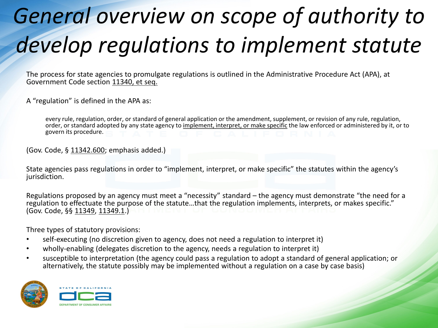## *General overview on scope of authority to develop regulations to implement statute*

 The process for state agencies to promulgate regulations is outlined in the Administrative Procedure Act (APA), at Government Code section [11340, et seq.](https://urldefense.proofpoint.com/v2/url?u=https-3A__leginfo.legislature.ca.gov_faces_codes-5Fdisplayexpandedbranch.xhtml-3FlawCode-3DGOV-26division-3D3.-26title-3D2.-26part-3D1.-26chapter-3D3.5.-26article-3D1.-26goUp-3DY&d=DwMFaQ&c=LHIwbLRMLqgNuqr1uGLfTA&r=5T8qzbwJ0DgN_LuK923WJPA2wnd2D0J0PeEsyDuGcY8&m=SocpJ6VHDriRHggViZ2TV3IrMCyUvzd0li2dj1z_gvk&s=VFoMyj9ikGDjgxwU-w_aCCGdqxCu5ydt3feYOCqGBqc&e=)

A "regulation" is defined in the APA as:

 every rule, regulation, order, or standard of general application or the amendment, supplement, or revision of any rule, regulation, order, or standard adopted by any state agency to implement, interpret, or make specific the law enforced or administered by it, or to govern its procedure.

(Gov. Code, § [11342.600](https://leginfo.legislature.ca.gov/faces/codes_displaySection.xhtml?sectionNum=11342.600&lawCode=GOV); emphasis added.)

 State agencies pass regulations in order to "implement, interpret, or make specific" the statutes within the agency's jurisdiction.

 Regulations proposed by an agency must meet a "necessity" standard – the agency must demonstrate "the need for a regulation to effectuate the purpose of the statute…that the regulation implements, interprets, or makes specific." (Gov. Code, §§ [11349,](https://leginfo.legislature.ca.gov/faces/codes_displaySection.xhtml?lawCode=GOV§ionNum=11349.) [11349.1.](https://leginfo.legislature.ca.gov/faces/codes_displaySection.xhtml?lawCode=GOV§ionNum=11349.1.))

Three types of statutory provisions:

- self-executing (no discretion given to agency, does not need a regulation to interpret it)
- wholly-enabling (delegates discretion to the agency, needs a regulation to interpret it)
- • susceptible to interpretation (the agency could pass a regulation to adopt a standard of general application; or alternatively, the statute possibly may be implemented without a regulation on a case by case basis)

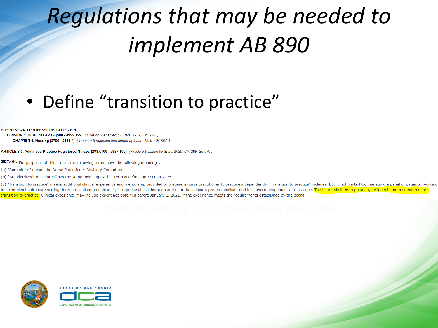#### • Define "transition to practice"

#### **BUSINESS AND PROFESSIONS CODE - BPC**

DIVISION 2. HEALING ARTS [500 - 4999.129] (Division 2 enacted by Stats. 1937, Ch. 399.) CHAPTER 6. Nursing [2700 - 2838.4] (Chapter 6 repealed and added by Stats. 1939, Ch. 807.)

ARTICLE 8.5. Advanced Practice Registered Nurses [2837.100 - 2837.105] (Article 8.5 added by Stats. 2020, Ch. 265, Sec. 4.)

2837.101. For purposes of this article, the following terms have the following meanings:

(a) "Committee" means the Nurse Practitioner Advisory Committee.

(b) "Standardized procedures" has the same meaning as that term is defined in Section 2725.

(c) "Transition to practice" means additional clinical experience and mentorship provided to prepare a nurse practitioner to practice independently. "Transition to practice" includes, but is not limited to, managing a pane in a complex health care setting, interpersonal communication, interpersonal collaboration and team-based care, professionalism, and business management of a practice. The board shall, by regulation, define minimum standar transition to practice. Clinical experience may include experience obtained before January 1, 2021, if the experience meets the requirements established by the board.

# **DEPARTMENT OF CONSUMER AFFAI**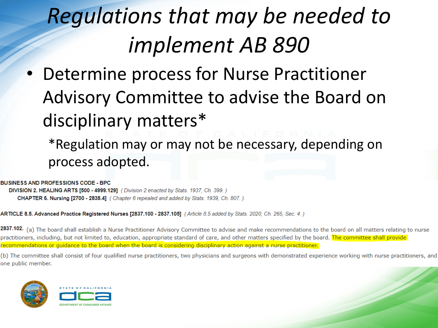Advisory Committee to advise the Board on • Determine process for Nurse Practitioner disciplinary matters\*

 \*Regulation may or may not be necessary, depending on process adopted.

**BUSINESS AND PROFESSIONS CODE - BPC** 

DIVISION 2. HEALING ARTS [500 - 4999.1291 (Division 2 enacted by Stats, 1937, Ch. 399.) CHAPTER 6. Nursing [2700 - 2838.4] (Chapter 6 repealed and added by Stats. 1939, Ch. 807.)

ARTICLE 8.5. Advanced Practice Registered Nurses [2837.100 - 2837.105] (Article 8.5 added by Stats. 2020, Ch. 265, Sec. 4.)

2837.102. (a) The board shall establish a Nurse Practitioner Advisory Committee to advise and make recommendations to the board on all matters relating to nurse practitioners, including, but not limited to, education, appropriate standard of care, and other matters specified by the board. The committee shall provide recommendations or guidance to the board when the board is considering disciplinary action against a nurse practitioner.

(b) The committee shall consist of four qualified nurse practitioners, two physicians and surgeons with demonstrated experience working with nurse practitioners, and one public member.

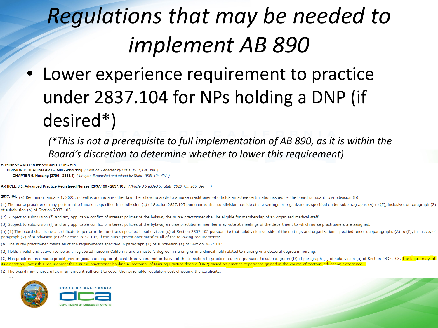Lower experience requirement to practice under 2837.104 for NPs holding a DNP (if  $desired*)$ 

(\*This is not a prerequisite to full implementation of AB 890, as it is within the Board's discretion to determine whether to lower this requirement)

**BUSINESS AND PROFESSIONS CODE - BPC** 

DIVISION 2. HEALING ARTS [500 - 4999.129] (Division 2 enacted by Stats. 1937, Ch. 399.) CHAPTER 6. Nursing [2700 - 2838.4] (Chapter 6 repealed and added by Stats. 1939, Ch. 807.)

ARTICLE 8.5. Advanced Practice Registered Nurses [2837.100 - 2837.105] (Article 8.5 added by Stats. 2020. Ch. 265. Sec. 4.)

2837.104. (a) Beginning January 1, 2023, notwithstanding any other law, the following apply to a nurse practitioner who holds an active certification issued by the board pursuant to subdivision (b):

(1) The nurse practitioner may perform the functions specified in subdivision (c) of Section 2837.103 pursuant to that subdivision outside of the settings or organizations specified under subparagraphs (A) to (F), inclusiv of subdivision (a) of Section 2837.103.

(2) Subject to subdivision (f) and any applicable conflict of interest policies of the bylaws, the nurse practitioner shall be eligible for membership of an organized medical staff.

(3) Subject to subdivision (f) and any applicable conflict of interest policies of the bylaws, a nurse practitioner member may vote at meetings of the department to which nurse practitioners are assigned.

(b) (1) The board shall issue a certificate to perform the functions specified in subdivision (c) of Section 2837.103 pursuant to that subdivision outside of the settings and organizations specified under subparagraphs (A) paragraph (2) of subdivision (a) of Section 2837.103, if the nurse practitioner satisfies all of the following requirements:

(A) The nurse practitioner meets all of the requirements specified in paragraph (1) of subdivision (a) of Section 2837.103.

(B) Holds a valid and active license as a registered nurse in California and a master's degree in nursing or in a clinical field related to nursing or a doctoral degree in nursing.

(C) Has practiced as a nurse practitioner in good standing for at least three years, not inclusive of the transition to practice required pursuant to subparagraph (D) of paragraph (1) of subdivision (a) of Section 2837.103 its discretion, lower this requirement for a nurse practitioner holding a Doctorate of Nursing Practice degree (DNP) based on practice experience gained in the course of doctoral education experience.

(2) The board may charge a fee in an amount sufficient to cover the reasonable regulatory cost of issuing the certificate.

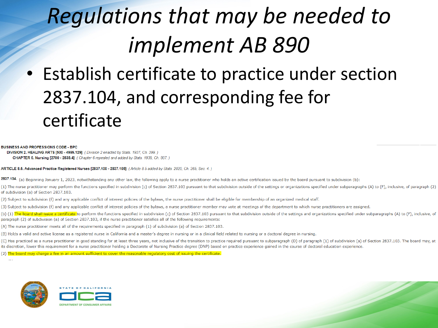Establish certificate to practice under section 2837.104, and corresponding fee for certificate

#### BUSINESS AND PROFESSIONS CODE - BPC

DIVISION 2. HEALING ARTS [500 - 4999.129] ( Division 2 enacted by Stats. 1937, Ch. 399.) CHAPTER 6. Nursing [2700 - 2838.4] (Chapter 6 repealed and added by Stats. 1939, Ch. 807.)

ARTICLE 8.5. Advanced Practice Registered Nurses [2837.100 - 2837.105] (Article 8.5 added by Stats. 2020, Ch. 265, Sec. 4.)

2837.104. (a) Beginning January 1, 2023, notwithstanding any other law, the following apply to a nurse practitioner who holds an active certification issued by the board pursuant to subdivision (b):

(1) The nurse practitioner may perform the functions specified in subdivision (c) of Section 2837.103 pursuant to that subdivision outside of the settings or organizations specified under subparagraphs (A) to (F), inclusiv of subdivision (a) of Section 2837.103.

(2) Subject to subdivision (f) and any applicable conflict of interest policies of the bylaws, the nurse practitioner shall be eligible for membership of an organized medical staff.

(3) Subject to subdivision (f) and any applicable conflict of interest policies of the bylaws, a nurse practitioner member may vote at meetings of the department to which nurse practitioners are assigned.

(b) (1) The board shall issue a certificate to perform the functions specified in subdivision (c) of Section 2837.103 pursuant to that subdivision outside of the settings and organizations specified under subparagraphs (A) paragraph (2) of subdivision (a) of Section 2837.103, if the nurse practitioner satisfies all of the following requirements:

(A) The nurse practitioner meets all of the requirements specified in paragraph (1) of subdivision (a) of Section 2837.103.

(B) Holds a valid and active license as a registered nurse in California and a master's degree in nursing or in a clinical field related to nursing or a doctoral degree in nursing.

(C) Has practiced as a nurse practitioner in good standing for at least three years, not inclusive of the transition to practice required pursuant to subparagraph (D) of paragraph (1) of subdivision (a) of Section 2837.103 its discretion, lower this requirement for a nurse practitioner holding a Doctorate of Nursing Practice degree (DNP) based on practice experience gained in the course of doctoral education experience.

ard may charge a fee in an amount sufficient to cover the reasonable regulatory cost of issuing the certificate.

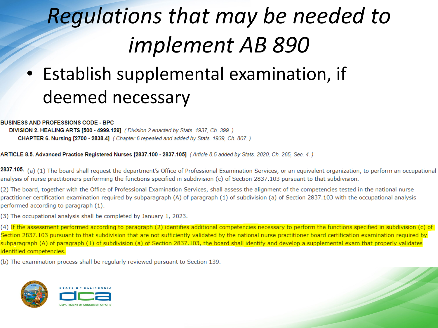#### Establish supplemental examination, if deemed necessary

#### **BUSINESS AND PROFESSIONS CODE - BPC**

DIVISION 2. HEALING ARTS [500 - 4999.129] (Division 2 enacted by Stats. 1937, Ch. 399.) CHAPTER 6. Nursing [2700 - 2838.4] (Chapter 6 repealed and added by Stats. 1939, Ch. 807.)

ARTICLE 8.5. Advanced Practice Registered Nurses [2837.100 - 2837.105] (Article 8.5 added by Stats. 2020, Ch. 265, Sec. 4.)

2837.105. (a) (1) The board shall request the department's Office of Professional Examination Services, or an equivalent organization, to perform an occupational analysis of nurse practitioners performing the functions specified in subdivision (c) of Section 2837,103 pursuant to that subdivision.

(2) The board, together with the Office of Professional Examination Services, shall assess the alignment of the competencies tested in the national nurse practitioner certification examination required by subparagraph (A) of paragraph (1) of subdivision (a) of Section 2837.103 with the occupational analysis performed according to paragraph (1).

(3) The occupational analysis shall be completed by January 1, 2023.

(4) If the assessment performed according to paragraph (2) identifies additional competencies necessary to perform the functions specified in subdivision (c) of Section 2837.103 pursuant to that subdivision that are not sufficiently validated by the national nurse practitioner board certification examination required by subparagraph (A) of paragraph (1) of subdivision (a) of Section 2837.103, the board shall identify and develop a supplemental exam that properly validates identified competencies.

(b) The examination process shall be regularly reviewed pursuant to Section 139.

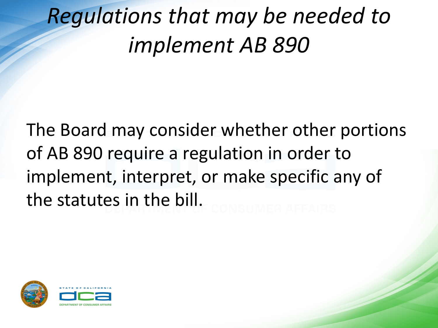The Board may consider whether other portions implement, interpret, or make specific any of of AB 890 require a regulation in order to the statutes in the bill.